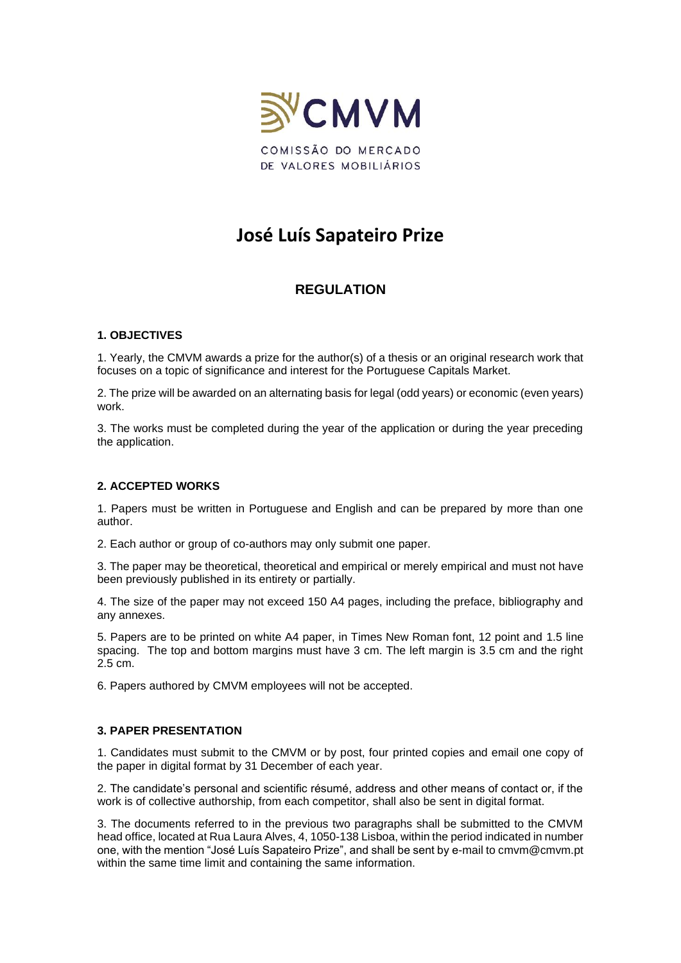

# **José Luís Sapateiro Prize**

# **REGULATION**

### **1. OBJECTIVES**

1. Yearly, the CMVM awards a prize for the author(s) of a thesis or an original research work that focuses on a topic of significance and interest for the Portuguese Capitals Market.

2. The prize will be awarded on an alternating basis for legal (odd years) or economic (even years) work.

3. The works must be completed during the year of the application or during the year preceding the application.

## **2. ACCEPTED WORKS**

1. Papers must be written in Portuguese and English and can be prepared by more than one author.

2. Each author or group of co-authors may only submit one paper.

3. The paper may be theoretical, theoretical and empirical or merely empirical and must not have been previously published in its entirety or partially.

4. The size of the paper may not exceed 150 A4 pages, including the preface, bibliography and any annexes.

5. Papers are to be printed on white A4 paper, in Times New Roman font, 12 point and 1.5 line spacing. The top and bottom margins must have 3 cm. The left margin is 3.5 cm and the right 2.5 cm.

6. Papers authored by CMVM employees will not be accepted.

### **3. PAPER PRESENTATION**

1. Candidates must submit to the CMVM or by post, four printed copies and email one copy of the paper in digital format by 31 December of each year.

2. The candidate's personal and scientific résumé, address and other means of contact or, if the work is of collective authorship, from each competitor, shall also be sent in digital format.

3. The documents referred to in the previous two paragraphs shall be submitted to the CMVM head office, located at Rua Laura Alves, 4, 1050-138 Lisboa, within the period indicated in number one, with the mention "José Luís Sapateiro Prize", and shall be sent by e-mail to cmvm@cmvm.pt within the same time limit and containing the same information.